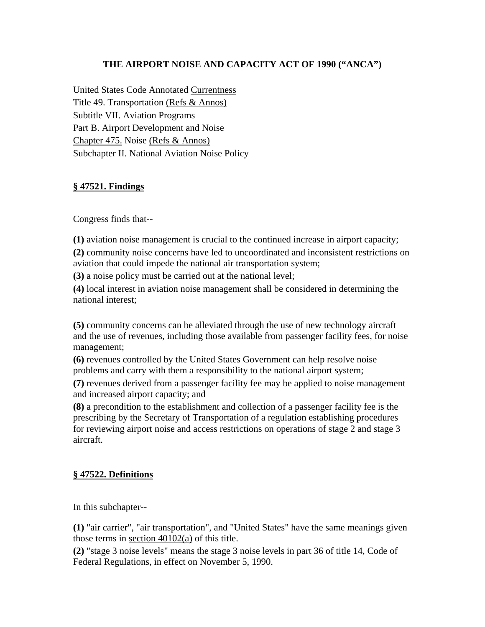## **THE AIRPORT NOISE AND CAPACITY ACT OF 1990 ("ANCA")**

United States Code Annotated Currentness Title 49. Transportation (Refs & Annos) Subtitle VII. Aviation Programs Part B. Airport Development and Noise Chapter 475. Noise (Refs & Annos) Subchapter II. National Aviation Noise Policy

### **§ 47521. Findings**

Congress finds that--

**(1)** aviation noise management is crucial to the continued increase in airport capacity;

**(2)** community noise concerns have led to uncoordinated and inconsistent restrictions on aviation that could impede the national air transportation system;

**(3)** a noise policy must be carried out at the national level;

**(4)** local interest in aviation noise management shall be considered in determining the national interest;

**(5)** community concerns can be alleviated through the use of new technology aircraft and the use of revenues, including those available from passenger facility fees, for noise management;

**(6)** revenues controlled by the United States Government can help resolve noise problems and carry with them a responsibility to the national airport system;

**(7)** revenues derived from a passenger facility fee may be applied to noise management and increased airport capacity; and

**(8)** a precondition to the establishment and collection of a passenger facility fee is the prescribing by the Secretary of Transportation of a regulation establishing procedures for reviewing airport noise and access restrictions on operations of stage 2 and stage 3 aircraft.

## **§ 47522. Definitions**

In this subchapter--

**(1)** "air carrier", "air transportation", and "United States" have the same meanings given those terms in section 40102(a) of this title.

**(2)** "stage 3 noise levels" means the stage 3 noise levels in part 36 of title 14, Code of Federal Regulations, in effect on November 5, 1990.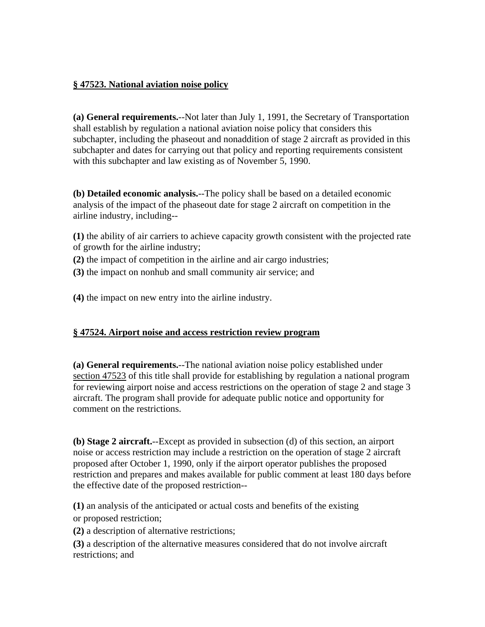### **§ 47523. National aviation noise policy**

**(a) General requirements.**--Not later than July 1, 1991, the Secretary of Transportation shall establish by regulation a national aviation noise policy that considers this subchapter, including the phaseout and nonaddition of stage 2 aircraft as provided in this subchapter and dates for carrying out that policy and reporting requirements consistent with this subchapter and law existing as of November 5, 1990.

**(b) Detailed economic analysis.**--The policy shall be based on a detailed economic analysis of the impact of the phaseout date for stage 2 aircraft on competition in the airline industry, including--

**(1)** the ability of air carriers to achieve capacity growth consistent with the projected rate of growth for the airline industry;

- **(2)** the impact of competition in the airline and air cargo industries;
- **(3)** the impact on nonhub and small community air service; and

**(4)** the impact on new entry into the airline industry.

## **§ 47524. Airport noise and access restriction review program**

**(a) General requirements.**--The national aviation noise policy established under section 47523 of this title shall provide for establishing by regulation a national program for reviewing airport noise and access restrictions on the operation of stage 2 and stage 3 aircraft. The program shall provide for adequate public notice and opportunity for comment on the restrictions.

**(b) Stage 2 aircraft.**--Except as provided in subsection (d) of this section, an airport noise or access restriction may include a restriction on the operation of stage 2 aircraft proposed after October 1, 1990, only if the airport operator publishes the proposed restriction and prepares and makes available for public comment at least 180 days before the effective date of the proposed restriction--

**(1)** an analysis of the anticipated or actual costs and benefits of the existing or proposed restriction;

**(2)** a description of alternative restrictions;

**(3)** a description of the alternative measures considered that do not involve aircraft restrictions; and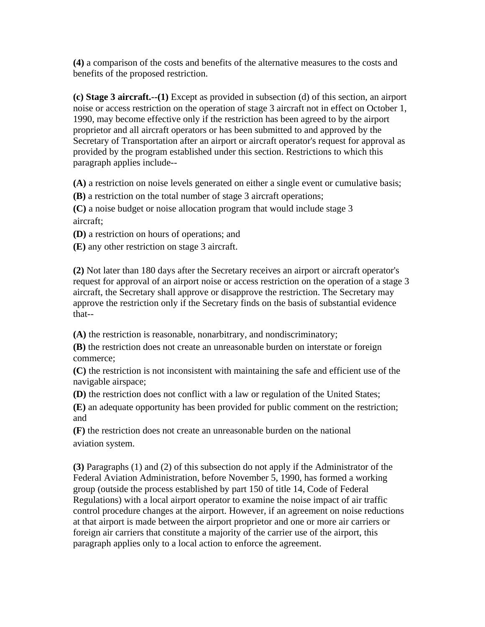**(4)** a comparison of the costs and benefits of the alternative measures to the costs and benefits of the proposed restriction.

**(c) Stage 3 aircraft.--(1)** Except as provided in subsection (d) of this section, an airport noise or access restriction on the operation of stage 3 aircraft not in effect on October 1, 1990, may become effective only if the restriction has been agreed to by the airport proprietor and all aircraft operators or has been submitted to and approved by the Secretary of Transportation after an airport or aircraft operator's request for approval as provided by the program established under this section. Restrictions to which this paragraph applies include--

**(A)** a restriction on noise levels generated on either a single event or cumulative basis;

**(B)** a restriction on the total number of stage 3 aircraft operations;

**(C)** a noise budget or noise allocation program that would include stage 3 aircraft;

**(D)** a restriction on hours of operations; and

**(E)** any other restriction on stage 3 aircraft.

**(2)** Not later than 180 days after the Secretary receives an airport or aircraft operator's request for approval of an airport noise or access restriction on the operation of a stage 3 aircraft, the Secretary shall approve or disapprove the restriction. The Secretary may approve the restriction only if the Secretary finds on the basis of substantial evidence that--

**(A)** the restriction is reasonable, nonarbitrary, and nondiscriminatory;

**(B)** the restriction does not create an unreasonable burden on interstate or foreign commerce;

**(C)** the restriction is not inconsistent with maintaining the safe and efficient use of the navigable airspace;

**(D)** the restriction does not conflict with a law or regulation of the United States;

**(E)** an adequate opportunity has been provided for public comment on the restriction; and

**(F)** the restriction does not create an unreasonable burden on the national aviation system.

**(3)** Paragraphs (1) and (2) of this subsection do not apply if the Administrator of the Federal Aviation Administration, before November 5, 1990, has formed a working group (outside the process established by part 150 of title 14, Code of Federal Regulations) with a local airport operator to examine the noise impact of air traffic control procedure changes at the airport. However, if an agreement on noise reductions at that airport is made between the airport proprietor and one or more air carriers or foreign air carriers that constitute a majority of the carrier use of the airport, this paragraph applies only to a local action to enforce the agreement.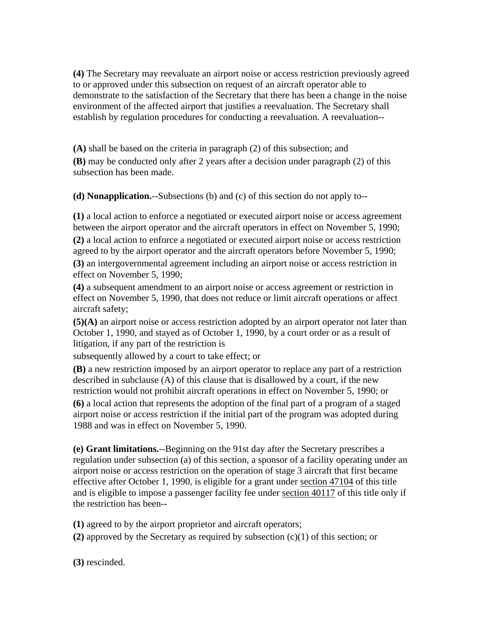**(4)** The Secretary may reevaluate an airport noise or access restriction previously agreed to or approved under this subsection on request of an aircraft operator able to demonstrate to the satisfaction of the Secretary that there has been a change in the noise environment of the affected airport that justifies a reevaluation. The Secretary shall establish by regulation procedures for conducting a reevaluation. A reevaluation--

**(A)** shall be based on the criteria in paragraph (2) of this subsection; and **(B)** may be conducted only after 2 years after a decision under paragraph (2) of this subsection has been made.

**(d) Nonapplication.**--Subsections (b) and (c) of this section do not apply to--

**(1)** a local action to enforce a negotiated or executed airport noise or access agreement between the airport operator and the aircraft operators in effect on November 5, 1990; **(2)** a local action to enforce a negotiated or executed airport noise or access restriction agreed to by the airport operator and the aircraft operators before November 5, 1990; **(3)** an intergovernmental agreement including an airport noise or access restriction in effect on November 5, 1990;

**(4)** a subsequent amendment to an airport noise or access agreement or restriction in effect on November 5, 1990, that does not reduce or limit aircraft operations or affect aircraft safety;

**(5)(A)** an airport noise or access restriction adopted by an airport operator not later than October 1, 1990, and stayed as of October 1, 1990, by a court order or as a result of litigation, if any part of the restriction is

subsequently allowed by a court to take effect; or

**(B)** a new restriction imposed by an airport operator to replace any part of a restriction described in subclause (A) of this clause that is disallowed by a court, if the new restriction would not prohibit aircraft operations in effect on November 5, 1990; or

**(6)** a local action that represents the adoption of the final part of a program of a staged airport noise or access restriction if the initial part of the program was adopted during 1988 and was in effect on November 5, 1990.

**(e) Grant limitations.**--Beginning on the 91st day after the Secretary prescribes a regulation under subsection (a) of this section, a sponsor of a facility operating under an airport noise or access restriction on the operation of stage 3 aircraft that first became effective after October 1, 1990, is eligible for a grant under section 47104 of this title and is eligible to impose a passenger facility fee under section 40117 of this title only if the restriction has been--

**(1)** agreed to by the airport proprietor and aircraft operators;

**(2)** approved by the Secretary as required by subsection (c)(1) of this section; or

**(3)** rescinded.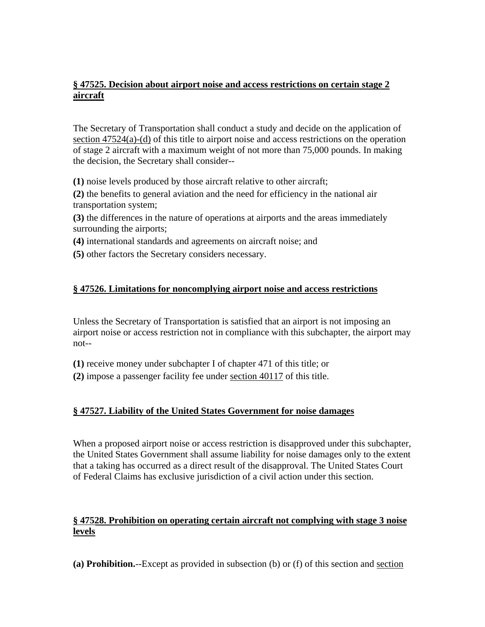## **§ 47525. Decision about airport noise and access restrictions on certain stage 2 aircraft**

The Secretary of Transportation shall conduct a study and decide on the application of section 47524(a)-(d) of this title to airport noise and access restrictions on the operation of stage 2 aircraft with a maximum weight of not more than 75,000 pounds. In making the decision, the Secretary shall consider--

**(1)** noise levels produced by those aircraft relative to other aircraft;

**(2)** the benefits to general aviation and the need for efficiency in the national air transportation system;

**(3)** the differences in the nature of operations at airports and the areas immediately surrounding the airports;

**(4)** international standards and agreements on aircraft noise; and

**(5)** other factors the Secretary considers necessary.

### **§ 47526. Limitations for noncomplying airport noise and access restrictions**

Unless the Secretary of Transportation is satisfied that an airport is not imposing an airport noise or access restriction not in compliance with this subchapter, the airport may not--

**(1)** receive money under subchapter I of chapter 471 of this title; or

**(2)** impose a passenger facility fee under section 40117 of this title.

## **§ 47527. Liability of the United States Government for noise damages**

When a proposed airport noise or access restriction is disapproved under this subchapter, the United States Government shall assume liability for noise damages only to the extent that a taking has occurred as a direct result of the disapproval. The United States Court of Federal Claims has exclusive jurisdiction of a civil action under this section.

# **§ 47528. Prohibition on operating certain aircraft not complying with stage 3 noise levels**

**(a) Prohibition.**--Except as provided in subsection (b) or (f) of this section and section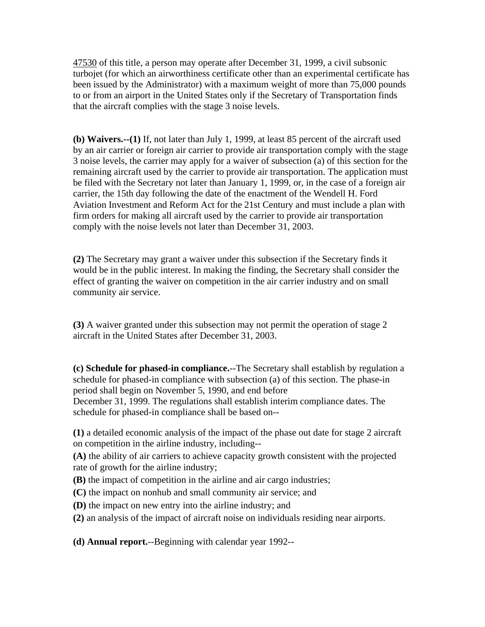47530 of this title, a person may operate after December 31, 1999, a civil subsonic turbojet (for which an airworthiness certificate other than an experimental certificate has been issued by the Administrator) with a maximum weight of more than 75,000 pounds to or from an airport in the United States only if the Secretary of Transportation finds that the aircraft complies with the stage 3 noise levels.

**(b) Waivers.--(1)** If, not later than July 1, 1999, at least 85 percent of the aircraft used by an air carrier or foreign air carrier to provide air transportation comply with the stage 3 noise levels, the carrier may apply for a waiver of subsection (a) of this section for the remaining aircraft used by the carrier to provide air transportation. The application must be filed with the Secretary not later than January 1, 1999, or, in the case of a foreign air carrier, the 15th day following the date of the enactment of the Wendell H. Ford Aviation Investment and Reform Act for the 21st Century and must include a plan with firm orders for making all aircraft used by the carrier to provide air transportation comply with the noise levels not later than December 31, 2003.

**(2)** The Secretary may grant a waiver under this subsection if the Secretary finds it would be in the public interest. In making the finding, the Secretary shall consider the effect of granting the waiver on competition in the air carrier industry and on small community air service.

**(3)** A waiver granted under this subsection may not permit the operation of stage 2 aircraft in the United States after December 31, 2003.

**(c) Schedule for phased-in compliance.**--The Secretary shall establish by regulation a schedule for phased-in compliance with subsection (a) of this section. The phase-in period shall begin on November 5, 1990, and end before

December 31, 1999. The regulations shall establish interim compliance dates. The schedule for phased-in compliance shall be based on--

**(1)** a detailed economic analysis of the impact of the phase out date for stage 2 aircraft on competition in the airline industry, including--

**(A)** the ability of air carriers to achieve capacity growth consistent with the projected rate of growth for the airline industry;

- **(B)** the impact of competition in the airline and air cargo industries;
- **(C)** the impact on nonhub and small community air service; and
- **(D)** the impact on new entry into the airline industry; and
- **(2)** an analysis of the impact of aircraft noise on individuals residing near airports.

**(d) Annual report.**--Beginning with calendar year 1992--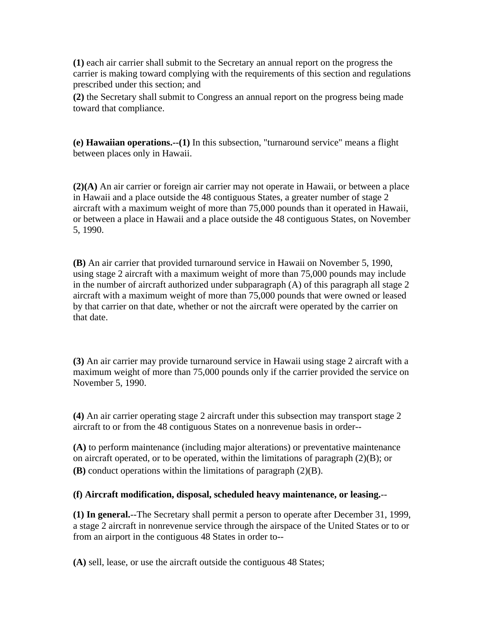**(1)** each air carrier shall submit to the Secretary an annual report on the progress the carrier is making toward complying with the requirements of this section and regulations prescribed under this section; and

**(2)** the Secretary shall submit to Congress an annual report on the progress being made toward that compliance.

**(e) Hawaiian operations.--(1)** In this subsection, "turnaround service" means a flight between places only in Hawaii.

**(2)(A)** An air carrier or foreign air carrier may not operate in Hawaii, or between a place in Hawaii and a place outside the 48 contiguous States, a greater number of stage 2 aircraft with a maximum weight of more than 75,000 pounds than it operated in Hawaii, or between a place in Hawaii and a place outside the 48 contiguous States, on November 5, 1990.

**(B)** An air carrier that provided turnaround service in Hawaii on November 5, 1990, using stage 2 aircraft with a maximum weight of more than 75,000 pounds may include in the number of aircraft authorized under subparagraph (A) of this paragraph all stage 2 aircraft with a maximum weight of more than 75,000 pounds that were owned or leased by that carrier on that date, whether or not the aircraft were operated by the carrier on that date.

**(3)** An air carrier may provide turnaround service in Hawaii using stage 2 aircraft with a maximum weight of more than 75,000 pounds only if the carrier provided the service on November 5, 1990.

**(4)** An air carrier operating stage 2 aircraft under this subsection may transport stage 2 aircraft to or from the 48 contiguous States on a nonrevenue basis in order--

**(A)** to perform maintenance (including major alterations) or preventative maintenance on aircraft operated, or to be operated, within the limitations of paragraph (2)(B); or **(B)** conduct operations within the limitations of paragraph (2)(B).

### **(f) Aircraft modification, disposal, scheduled heavy maintenance, or leasing.**--

**(1) In general.**--The Secretary shall permit a person to operate after December 31, 1999, a stage 2 aircraft in nonrevenue service through the airspace of the United States or to or from an airport in the contiguous 48 States in order to--

**(A)** sell, lease, or use the aircraft outside the contiguous 48 States;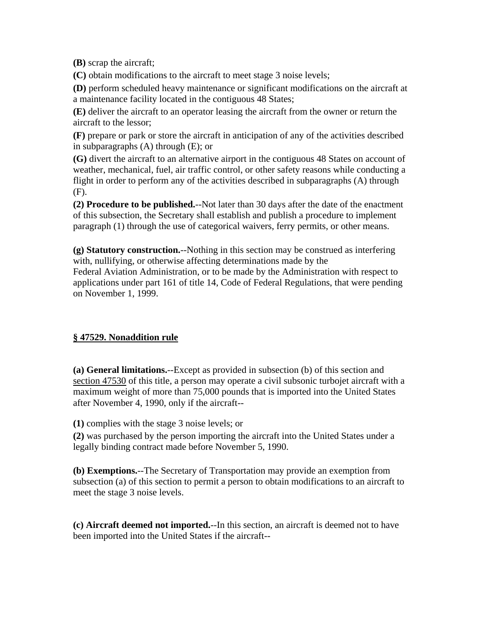**(B)** scrap the aircraft;

**(C)** obtain modifications to the aircraft to meet stage 3 noise levels;

**(D)** perform scheduled heavy maintenance or significant modifications on the aircraft at a maintenance facility located in the contiguous 48 States;

**(E)** deliver the aircraft to an operator leasing the aircraft from the owner or return the aircraft to the lessor;

**(F)** prepare or park or store the aircraft in anticipation of any of the activities described in subparagraphs (A) through (E); or

**(G)** divert the aircraft to an alternative airport in the contiguous 48 States on account of weather, mechanical, fuel, air traffic control, or other safety reasons while conducting a flight in order to perform any of the activities described in subparagraphs (A) through (F).

**(2) Procedure to be published.**--Not later than 30 days after the date of the enactment of this subsection, the Secretary shall establish and publish a procedure to implement paragraph (1) through the use of categorical waivers, ferry permits, or other means.

**(g) Statutory construction.**--Nothing in this section may be construed as interfering with, nullifying, or otherwise affecting determinations made by the Federal Aviation Administration, or to be made by the Administration with respect to applications under part 161 of title 14, Code of Federal Regulations, that were pending on November 1, 1999.

## **§ 47529. Nonaddition rule**

**(a) General limitations.**--Except as provided in subsection (b) of this section and section 47530 of this title, a person may operate a civil subsonic turbojet aircraft with a maximum weight of more than 75,000 pounds that is imported into the United States after November 4, 1990, only if the aircraft--

**(1)** complies with the stage 3 noise levels; or

**(2)** was purchased by the person importing the aircraft into the United States under a legally binding contract made before November 5, 1990.

**(b) Exemptions.**--The Secretary of Transportation may provide an exemption from subsection (a) of this section to permit a person to obtain modifications to an aircraft to meet the stage 3 noise levels.

**(c) Aircraft deemed not imported.**--In this section, an aircraft is deemed not to have been imported into the United States if the aircraft--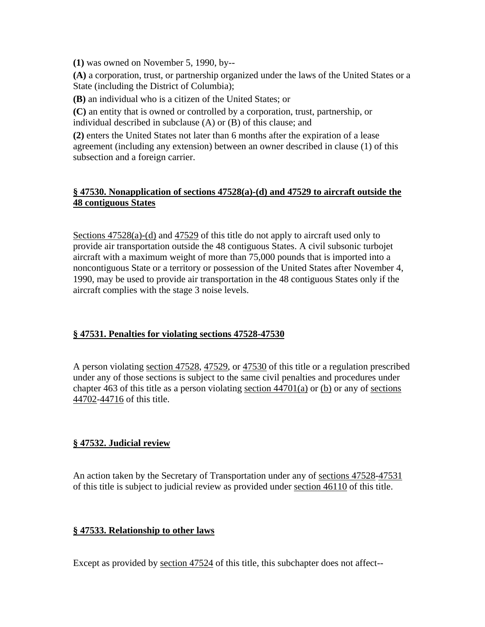**(1)** was owned on November 5, 1990, by--

**(A)** a corporation, trust, or partnership organized under the laws of the United States or a State (including the District of Columbia);

**(B)** an individual who is a citizen of the United States; or

**(C)** an entity that is owned or controlled by a corporation, trust, partnership, or individual described in subclause (A) or (B) of this clause; and

**(2)** enters the United States not later than 6 months after the expiration of a lease agreement (including any extension) between an owner described in clause (1) of this subsection and a foreign carrier.

# **§ 47530. Nonapplication of sections 47528(a)-(d) and 47529 to aircraft outside the 48 contiguous States**

Sections 47528(a)-(d) and 47529 of this title do not apply to aircraft used only to provide air transportation outside the 48 contiguous States. A civil subsonic turbojet aircraft with a maximum weight of more than 75,000 pounds that is imported into a noncontiguous State or a territory or possession of the United States after November 4, 1990, may be used to provide air transportation in the 48 contiguous States only if the aircraft complies with the stage 3 noise levels.

## **§ 47531. Penalties for violating sections 47528-47530**

A person violating section 47528, 47529, or 47530 of this title or a regulation prescribed under any of those sections is subject to the same civil penalties and procedures under chapter 463 of this title as a person violating section 44701(a) or (b) or any of sections 44702-44716 of this title.

## **§ 47532. Judicial review**

An action taken by the Secretary of Transportation under any of sections 47528-47531 of this title is subject to judicial review as provided under section 46110 of this title.

## **§ 47533. Relationship to other laws**

Except as provided by section 47524 of this title, this subchapter does not affect--